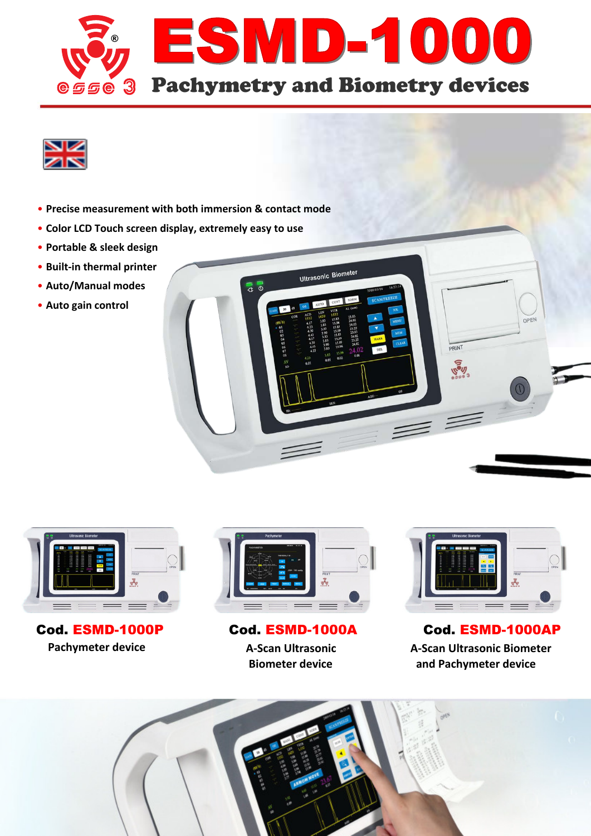

Ultrasonic Biometer

 $\overline{a}$ 



- **Precise measurement with both immersion & contact mode**
- **Color LCD Touch screen display, extremely easy to use**
- **Portable & sleek design**
- **Built‐in thermal printer**
- **Auto/Manual modes**
- **Auto gain control**



**Pachymeter device A‐Scan Ultrasonic Biometer device**



**PRINT** 

**Real** 

OPEN

 Cod. ESMD-1000P Cod. ESMD-1000A Cod. ESMD-1000AP **A‐Scan Ultrasonic Biometer and Pachymeter device**

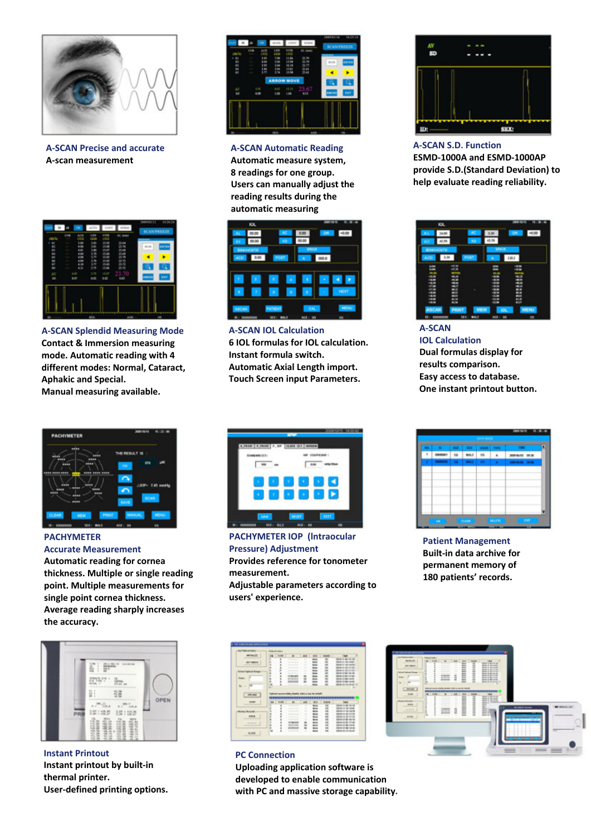

**A‐SCAN Precise and accurate A‐scan measurement**



**A‐SCAN Splendid Measuring Mode Contact & Immersion measuring mode. Automatic reading with 4 different modes: Normal, Cataract, Aphakic and Special. Manual measuring available.**



**PACHYMETER Accurate Measurement Automatic reading for cornea**

**thickness. Multiple or single reading point. Multiple measurements for single point cornea thickness. Average reading sharply increases the accuracy.**



**Instant Printout Instant printout by built‐in thermal printer. User‐defined printing options.**



**A‐SCAN Automatic Reading Automatic measure system, 8 readings for one group. Users can manually adjust the reading results during the automatic measuring**



**A‐SCAN IOL Calculation 6 IOL formulas for IOL calculation. Instant formula switch. Automatic Axial Length import. Touch Screen input Parameters.**



**PACHYMETER IOP (lntraocular Pressure) Adjustment Provides reference for tonometer measurement. Adjustable parameters according to users' experience.**



**A‐SCAN S.D. Function ESMD‐1000A and ESMD‐1000AP provide S.D.(Standard Deviation) to help evaluate reading reliability.**

| KK.                   |                 |               |                 | <b>TRUS 18715</b> | ю              |
|-----------------------|-----------------|---------------|-----------------|-------------------|----------------|
| 34.00<br>A1.          |                 | ×             | x               | on                | a              |
| a<br><b>BEST</b>      |                 | K2            | 43.59           |                   |                |
| <b><i>BROCGTA</i></b> |                 |               | 18908           |                   |                |
| 3.39<br>AZD.          |                 | POST          | ٠               | 118.2             |                |
| 6.04<br><b>BOM</b>    | -18<br>÷.       |               | <br>÷           | 100.00<br>1008    |                |
| <br>$-8.9$            |                 |               |                 |                   |                |
| --                    | ×               |               |                 | <b>EEEEE</b>      |                |
|                       | ÷               |               |                 |                   |                |
| 47.99                 | . .             | $\rightarrow$ |                 |                   |                |
|                       | ÷               |               |                 |                   |                |
| - -                   | ÷               |               |                 |                   |                |
| --<br>-               |                 |               | <br>            | m                 |                |
|                       | 41.74           |               |                 | <b>ALLEY</b>      |                |
| ASCAN                 | <b>PRINT</b>    | <b>METAL</b>  | IOL.            |                   | MENJ           |
| ееоперее<br>ø         | SE <sub>R</sub> | m             | NH<br>$\bullet$ |                   | $\mathfrak{m}$ |

**A‐SCAN IOL Calculation Dual formulas display for results comparison. Easy access to database. One instant printout button.**



**Patient Management Built‐in data archive for permanent memory of 180 patients' records.**





# **PC Connection Uploading application software is**

**developed to enable communication with PC and massive storage capability.**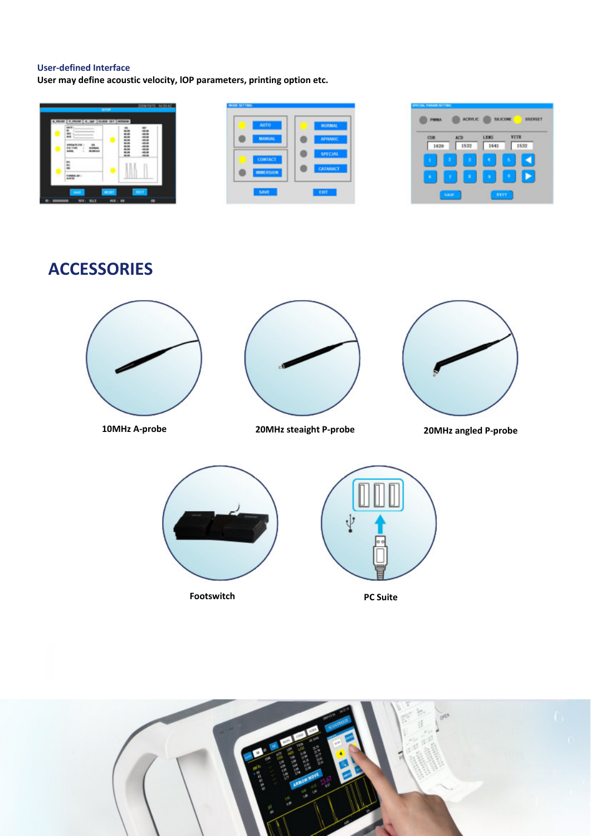#### **User‐defined Interface**

**User may define acoustic velocity, lOP parameters, printing option etc.**



| <b>AUTO</b>      | <b>NORMAL</b>   |
|------------------|-----------------|
| <b>MANUAL</b>    | <b>APHAKIC</b>  |
| CONTACT          | <b>SPECIAL</b>  |
| <b>IMMERSION</b> | <b>CATABACT</b> |

| COR    | <b>ACT</b> | <b>LENS</b> | <b>VITR</b> |
|--------|------------|-------------|-------------|
| 1620   | 1532       | 1641        | 1532        |
| ż<br>ĭ | ٠          | ×<br>٠      |             |
|        |            |             |             |

**ACCESSORIES**







**10MHz A‐probe 20MHz steaight P-probe 20MHz angled P‐probe**